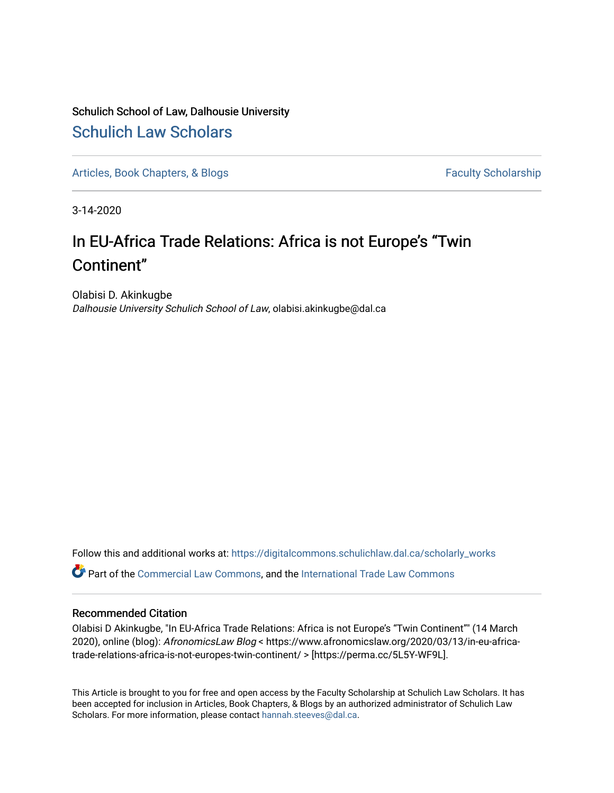### Schulich School of Law, Dalhousie University [Schulich Law Scholars](https://digitalcommons.schulichlaw.dal.ca/)

[Articles, Book Chapters, & Blogs](https://digitalcommons.schulichlaw.dal.ca/scholarly_works) Faculty Scholarship

3-14-2020

## In EU-Africa Trade Relations: Africa is not Europe's "Twin Continent"

Olabisi D. Akinkugbe Dalhousie University Schulich School of Law, olabisi.akinkugbe@dal.ca

Follow this and additional works at: [https://digitalcommons.schulichlaw.dal.ca/scholarly\\_works](https://digitalcommons.schulichlaw.dal.ca/scholarly_works?utm_source=digitalcommons.schulichlaw.dal.ca%2Fscholarly_works%2F491&utm_medium=PDF&utm_campaign=PDFCoverPages)  Part of the [Commercial Law Commons](http://network.bepress.com/hgg/discipline/586?utm_source=digitalcommons.schulichlaw.dal.ca%2Fscholarly_works%2F491&utm_medium=PDF&utm_campaign=PDFCoverPages), and the [International Trade Law Commons](http://network.bepress.com/hgg/discipline/848?utm_source=digitalcommons.schulichlaw.dal.ca%2Fscholarly_works%2F491&utm_medium=PDF&utm_campaign=PDFCoverPages) 

#### Recommended Citation

Olabisi D Akinkugbe, "In EU-Africa Trade Relations: Africa is not Europe's "Twin Continent"" (14 March 2020), online (blog): AfronomicsLaw Blog < https://www.afronomicslaw.org/2020/03/13/in-eu-africatrade-relations-africa-is-not-europes-twin-continent/ > [https://perma.cc/5L5Y-WF9L].

This Article is brought to you for free and open access by the Faculty Scholarship at Schulich Law Scholars. It has been accepted for inclusion in Articles, Book Chapters, & Blogs by an authorized administrator of Schulich Law Scholars. For more information, please contact [hannah.steeves@dal.ca](mailto:hannah.steeves@dal.ca).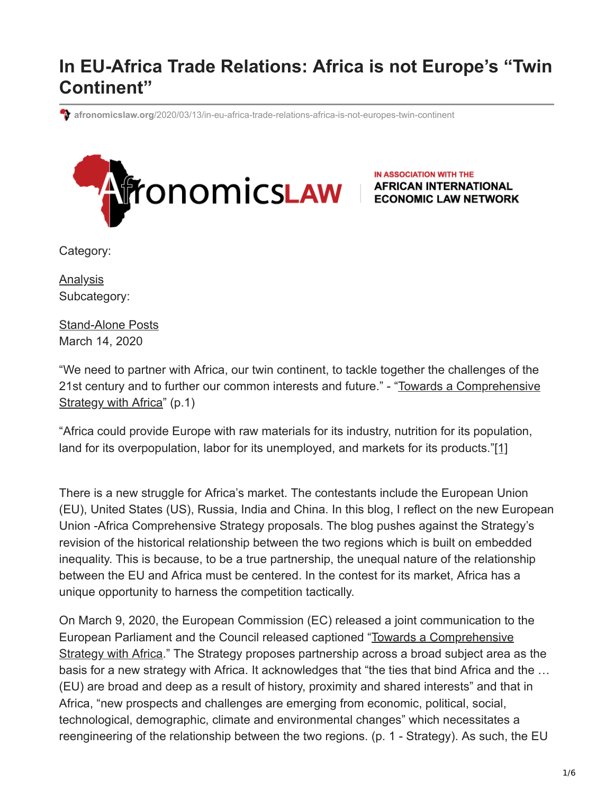# **In EU-Africa Trade Relations: Africa is not Europe's "Twin Continent"**

**afronomicslaw.org**[/2020/03/13/in-eu-africa-trade-relations-africa-is-not-europes-twin-continent](https://www.afronomicslaw.org/2020/03/13/in-eu-africa-trade-relations-africa-is-not-europes-twin-continent/)



IN ASSOCIATION WITH THE **AFRICAN INTERNATIONAL ECONOMIC LAW NETWORK** 

Category:

**[Analysis](https://www.afronomicslaw.org/category/analysis)** Subcategory:

[Stand-Alone Posts](https://www.afronomicslaw.org/taxonomy/term/12) March 14, 2020

"We need to partner with Africa, our twin continent, to tackle together the challenges of the [21st century and to further our common interests and future." - "Towards a Comprehensive](https://ec.europa.eu/international-partnerships/system/files/communication-eu-africa-strategy-join-2020-4-final_en.pdf) Strategy with Africa" (p.1)

"Africa could provide Europe with raw materials for its industry, nutrition for its population, land for its overpopulation, labor for its unemployed, and markets for its products."[\[1\]](applewebdata://A0FE284B-F076-46A3-BDCC-4EE1EE2EC909#_ftn1)

There is a new struggle for Africa's market. The contestants include the European Union (EU), United States (US), Russia, India and China. In this blog, I reflect on the new European Union -Africa Comprehensive Strategy proposals. The blog pushes against the Strategy's revision of the historical relationship between the two regions which is built on embedded inequality. This is because, to be a true partnership, the unequal nature of the relationship between the EU and Africa must be centered. In the contest for its market, Africa has a unique opportunity to harness the competition tactically.

On March 9, 2020, the European Commission (EC) released a joint communication to the [European Parliament and the Council released captioned "Towards a Comprehensive](https://ec.europa.eu/international-partnerships/system/files/communication-eu-africa-strategy-join-2020-4-final_en.pdf) Strategy with Africa." The Strategy proposes partnership across a broad subject area as the basis for a new strategy with Africa. It acknowledges that "the ties that bind Africa and the … (EU) are broad and deep as a result of history, proximity and shared interests" and that in Africa, "new prospects and challenges are emerging from economic, political, social, technological, demographic, climate and environmental changes" which necessitates a reengineering of the relationship between the two regions. (p. 1 - Strategy). As such, the EU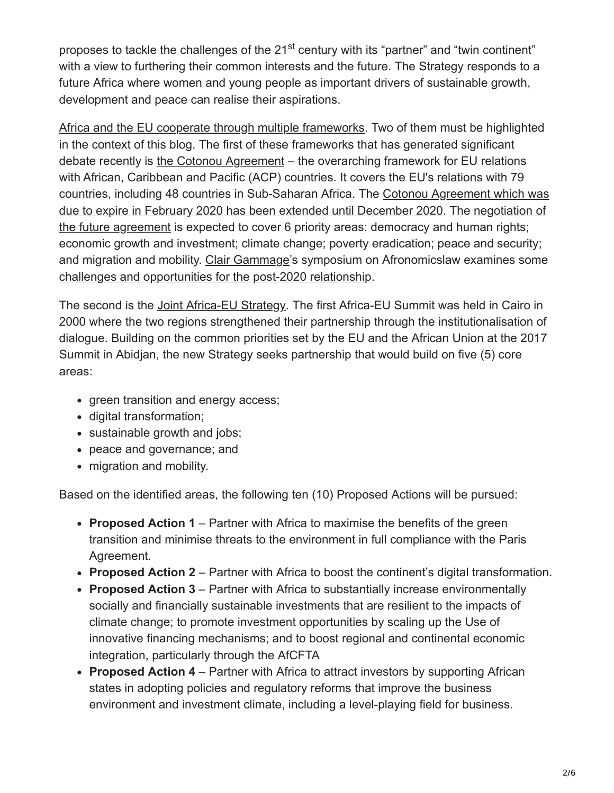proposes to tackle the challenges of the 21<sup>st</sup> century with its "partner" and "twin continent" with a view to furthering their common interests and the future. The Strategy responds to a future Africa where women and young people as important drivers of sustainable growth, development and peace can realise their aspirations.

[Africa and the EU cooperate through multiple frameworks.](https://www.consilium.europa.eu/en/policies/eu-africa/) Two of them must be highlighted in the context of this blog. The first of these frameworks that has generated significant debate recently is [the Cotonou Agreement](https://www.consilium.europa.eu/en/policies/cotonou-agreement/) – the overarching framework for EU relations with African, Caribbean and Pacific (ACP) countries. It covers the EU's relations with 79 [countries, including 48 countries in Sub-Saharan Africa. The Cotonou Agreement which was](http://www.acp.int/content/new-africa-caribbean-pacificeu-partnership-moving-forward-towards-new-partnership-fit-future) [due to expire in February 2020 has been extended until December 2020. The negotiation of](http://www.acp.int/sites/acpsec.waw.be/files/acpdoc/public-documents/ACP0001118_%20ACP_Negotiating_Mandate_EN.pdf) the future agreement is expected to cover 6 priority areas: democracy and human rights; economic growth and investment; climate change; poverty eradication; peace and security; and migration and mobility. [Clair Gammage'](http://www.bristol.ac.uk/law/people/clair-a-gammage/overview.html)s symposium on Afronomicslaw examines some [challenges and opportunities for the post-2020 relationship](https://www.afronomicslaw.org/2019/05/27/acp-eu-cooperation-challenges-and-opportunities-for-the-post-2020-relationship/).

The second is the [Joint Africa-EU Strategy](https://www.africa-eu-partnership.org/sites/default/files/documents/eas2007_joint_strategy_en.pdf). The first Africa-EU Summit was held in Cairo in 2000 where the two regions strengthened their partnership through the institutionalisation of dialogue. Building on the common priorities set by the EU and the African Union at the 2017 Summit in Abidjan, the new Strategy seeks partnership that would build on five (5) core areas:

- green transition and energy access;
- digital transformation;
- sustainable growth and jobs;
- peace and governance; and
- migration and mobility.

Based on the identified areas, the following ten (10) Proposed Actions will be pursued:

- **Proposed Action 1** Partner with Africa to maximise the benefits of the green transition and minimise threats to the environment in full compliance with the Paris Agreement.
- **Proposed Action 2** Partner with Africa to boost the continent's digital transformation.
- **Proposed Action 3** Partner with Africa to substantially increase environmentally socially and financially sustainable investments that are resilient to the impacts of climate change; to promote investment opportunities by scaling up the Use of innovative financing mechanisms; and to boost regional and continental economic integration, particularly through the AfCFTA
- **Proposed Action 4** Partner with Africa to attract investors by supporting African states in adopting policies and regulatory reforms that improve the business environment and investment climate, including a level-playing field for business.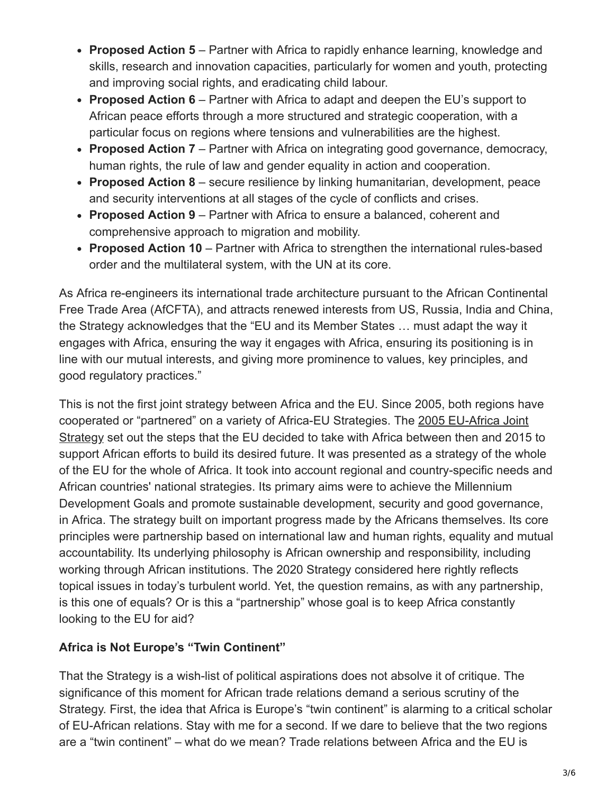- **Proposed Action 5** Partner with Africa to rapidly enhance learning, knowledge and skills, research and innovation capacities, particularly for women and youth, protecting and improving social rights, and eradicating child labour.
- **Proposed Action 6** Partner with Africa to adapt and deepen the EU's support to African peace efforts through a more structured and strategic cooperation, with a particular focus on regions where tensions and vulnerabilities are the highest.
- **Proposed Action 7** Partner with Africa on integrating good governance, democracy, human rights, the rule of law and gender equality in action and cooperation.
- **Proposed Action 8**  secure resilience by linking humanitarian, development, peace and security interventions at all stages of the cycle of conflicts and crises.
- **Proposed Action 9** Partner with Africa to ensure a balanced, coherent and comprehensive approach to migration and mobility.
- **Proposed Action 10** Partner with Africa to strengthen the international rules-based order and the multilateral system, with the UN at its core.

As Africa re-engineers its international trade architecture pursuant to the African Continental Free Trade Area (AfCFTA), and attracts renewed interests from US, Russia, India and China, the Strategy acknowledges that the "EU and its Member States … must adapt the way it engages with Africa, ensuring the way it engages with Africa, ensuring its positioning is in line with our mutual interests, and giving more prominence to values, key principles, and good regulatory practices."

This is not the first joint strategy between Africa and the EU. Since 2005, both regions have [cooperated or "partnered" on a variety of Africa-EU Strategies. The 2005 EU-Africa Joint](https://ec.europa.eu/commission/presscorner/detail/en/PRES_05_367) Strategy set out the steps that the EU decided to take with Africa between then and 2015 to support African efforts to build its desired future. It was presented as a strategy of the whole of the EU for the whole of Africa. It took into account regional and country-specific needs and African countries' national strategies. Its primary aims were to achieve the Millennium Development Goals and promote sustainable development, security and good governance, in Africa. The strategy built on important progress made by the Africans themselves. Its core principles were partnership based on international law and human rights, equality and mutual accountability. Its underlying philosophy is African ownership and responsibility, including working through African institutions. The 2020 Strategy considered here rightly reflects topical issues in today's turbulent world. Yet, the question remains, as with any partnership, is this one of equals? Or is this a "partnership" whose goal is to keep Africa constantly looking to the EU for aid?

### **Africa is Not Europe's "Twin Continent"**

That the Strategy is a wish-list of political aspirations does not absolve it of critique. The significance of this moment for African trade relations demand a serious scrutiny of the Strategy. First, the idea that Africa is Europe's "twin continent" is alarming to a critical scholar of EU-African relations. Stay with me for a second. If we dare to believe that the two regions are a "twin continent" – what do we mean? Trade relations between Africa and the EU is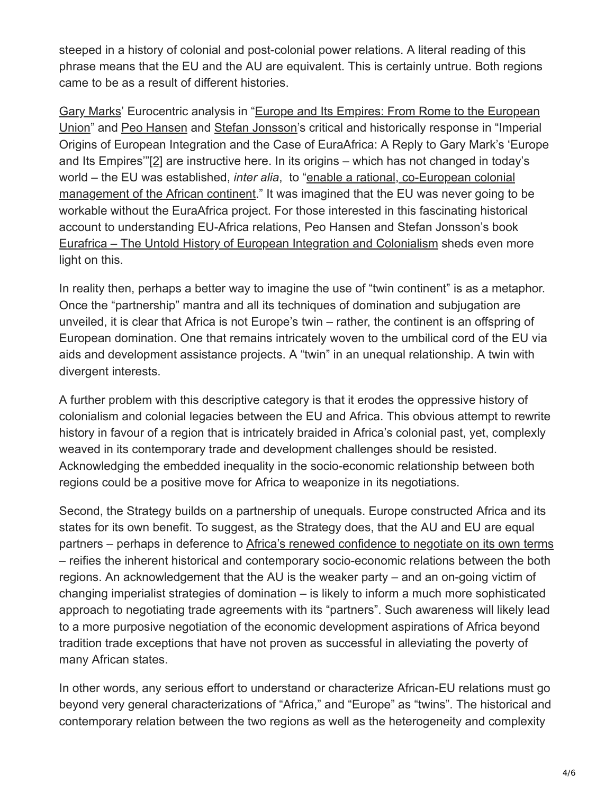steeped in a history of colonial and post-colonial power relations. A literal reading of this phrase means that the EU and the AU are equivalent. This is certainly untrue. Both regions came to be as a result of different histories.

[Gary Marks](http://garymarks.web.unc.edu/)[' Eurocentric analysis in "Europe and Its Empires: From Rome to the European](http://garymarks.web.unc.edu/files/2016/09/marks_2012_europe-and-its-empires.pdf) Union" and [Peo Hansen](https://liu.se/en/employee/peoha18) and [Stefan Jonsson](https://liu.se/en/employee/stejo01)'s critical and historically response in "Imperial Origins of European Integration and the Case of EuraAfrica: A Reply to Gary Mark's 'Europe and Its Empires'"[\[2\]](applewebdata://A0FE284B-F076-46A3-BDCC-4EE1EE2EC909#_ftn2) are instructive here. In its origins – which has not changed in today's world – the EU was established, *inter alia*, to "enable a rational, co-European colonial [management of the African continent." It was imagined that the EU was never going to](https://www.europenowjournal.org/2018/02/28/eurafrica-history-of-european-integration-compromise-of-decolonization/) be workable without the EuraAfrica project. For those interested in this fascinating historical account to understanding EU-Africa relations, Peo Hansen and Stefan Jonsson's book [Eurafrica – The Untold History of European Integration and Colonialism](https://www.bloomsbury.com/uk/eurafrica-9781474256803/) sheds even more light on this.

In reality then, perhaps a better way to imagine the use of "twin continent" is as a metaphor. Once the "partnership" mantra and all its techniques of domination and subjugation are unveiled, it is clear that Africa is not Europe's twin – rather, the continent is an offspring of European domination. One that remains intricately woven to the umbilical cord of the EU via aids and development assistance projects. A "twin" in an unequal relationship. A twin with divergent interests.

A further problem with this descriptive category is that it erodes the oppressive history of colonialism and colonial legacies between the EU and Africa. This obvious attempt to rewrite history in favour of a region that is intricately braided in Africa's colonial past, yet, complexly weaved in its contemporary trade and development challenges should be resisted. Acknowledging the embedded inequality in the socio-economic relationship between both regions could be a positive move for Africa to weaponize in its negotiations.

Second, the Strategy builds on a partnership of unequals. Europe constructed Africa and its states for its own benefit. To suggest, as the Strategy does, that the AU and EU are equal partners – perhaps in deference to [Africa's renewed confidence to negotiate on its own terms](https://www.politico.eu/article/commission-in-africa-ursula-von-der-leyen-frans-timmermans-moussa-faki/) – reifies the inherent historical and contemporary socio-economic relations between the both regions. An acknowledgement that the AU is the weaker party – and an on-going victim of changing imperialist strategies of domination – is likely to inform a much more sophisticated approach to negotiating trade agreements with its "partners". Such awareness will likely lead to a more purposive negotiation of the economic development aspirations of Africa beyond tradition trade exceptions that have not proven as successful in alleviating the poverty of many African states.

In other words, any serious effort to understand or characterize African-EU relations must go beyond very general characterizations of "Africa," and "Europe" as "twins". The historical and contemporary relation between the two regions as well as the heterogeneity and complexity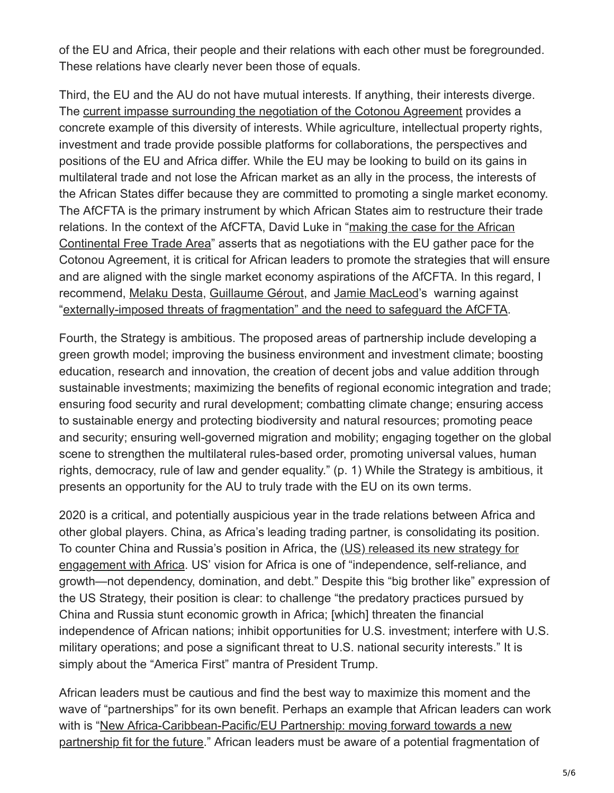of the EU and Africa, their people and their relations with each other must be foregrounded. These relations have clearly never been those of equals.

Third, the EU and the AU do not have mutual interests. If anything, their interests diverge. The [current impasse surrounding the negotiation of the Cotonou Agreement](https://www.afronomicslaw.org/2019/05/27/acp-eu-cooperation-challenges-and-opportunities-for-the-post-2020-relationship/) provides a concrete example of this diversity of interests. While agriculture, intellectual property rights, investment and trade provide possible platforms for collaborations, the perspectives and positions of the EU and Africa differ. While the EU may be looking to build on its gains in multilateral trade and not lose the African market as an ally in the process, the interests of the African States differ because they are committed to promoting a single market economy. The AfCFTA is the primary instrument by which African States aim to restructure their trade relations. In the context of the AfCFTA, David Luke in "making the case for the African [Continental Free Trade Area" asserts that as negotiations with the EU gather pace for](https://www.afronomicslaw.org/2019/01/12/making-the-case-for-the-african-continental-free-trade-area-2/) the Cotonou Agreement, it is critical for African leaders to promote the strategies that will ensure and are aligned with the single market economy aspirations of the AfCFTA. In this regard, I recommend, [Melaku Desta](https://www.dmu.ac.uk/about-dmu/academic-staff/business-and-law/melaku-desta/melaku-desta.aspx), [Guillaume Gérout](https://www.linkedin.com/in/guillaumegerout/), and [Jamie MacLeod'](https://www.ictsd.org/about-us/jamie-macleod)s warning against "[externally-imposed threats of fragmentation" and the need to safeguard the AfCFTA](https://www.afronomicslaw.org/2019/03/14/safeguarding-the-african-continental-free-trade-area-from-externally-imposed-threats-of-fragmentation/).

Fourth, the Strategy is ambitious. The proposed areas of partnership include developing a green growth model; improving the business environment and investment climate; boosting education, research and innovation, the creation of decent jobs and value addition through sustainable investments; maximizing the benefits of regional economic integration and trade; ensuring food security and rural development; combatting climate change; ensuring access to sustainable energy and protecting biodiversity and natural resources; promoting peace and security; ensuring well-governed migration and mobility; engaging together on the global scene to strengthen the multilateral rules-based order, promoting universal values, human rights, democracy, rule of law and gender equality." (p. 1) While the Strategy is ambitious, it presents an opportunity for the AU to truly trade with the EU on its own terms.

2020 is a critical, and potentially auspicious year in the trade relations between Africa and other global players. China, as Africa's leading trading partner, is consolidating its position. To counter China and Russia's position in Africa, the (US) released its new strategy for [engagement with Africa. US' vision for Africa is one of "independence, self-reliance, an](https://www.whitehouse.gov/briefings-statements/remarks-national-security-advisor-ambassador-john-r-bolton-trump-administrations-new-africa-strategy/)d growth—not dependency, domination, and debt." Despite this "big brother like" expression of the US Strategy, their position is clear: to challenge "the predatory practices pursued by China and Russia stunt economic growth in Africa; [which] threaten the financial independence of African nations; inhibit opportunities for U.S. investment; interfere with U.S. military operations; and pose a significant threat to U.S. national security interests." It is simply about the "America First" mantra of President Trump.

African leaders must be cautious and find the best way to maximize this moment and the wave of "partnerships" for its own benefit. Perhaps an example that African leaders can work with is "New Africa-Caribbean-Pacific/EU Partnership: moving forward towards a new [partnership fit for the future." African leaders must be aware of a potential fragmentatio](http://www.acp.int/content/new-africa-caribbean-pacificeu-partnership-moving-forward-towards-new-partnership-fit-future)n of